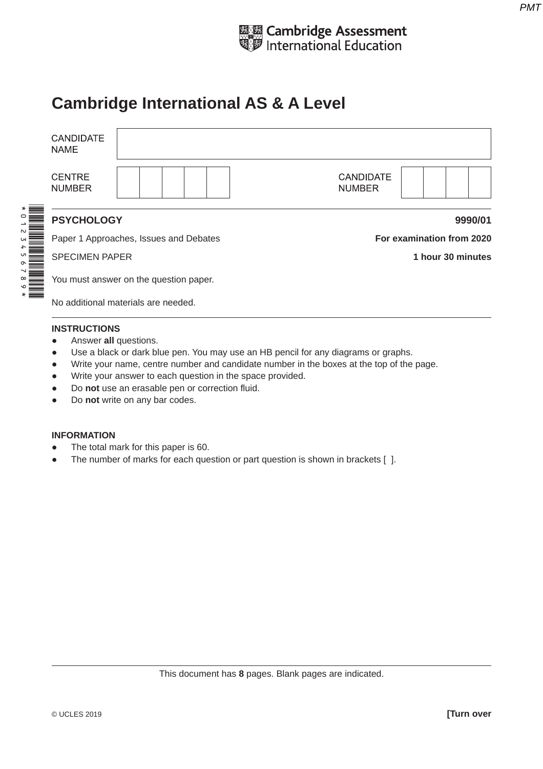

## **Cambridge International AS & A Level**

|                                                   | <b>CANDIDATE</b><br><b>NAME</b> |                                        |                                   |                   |  |  |  |
|---------------------------------------------------|---------------------------------|----------------------------------------|-----------------------------------|-------------------|--|--|--|
| $\sim$<br>$\mathsf{C}$<br>U<br>$\sim$<br>$\infty$ | <b>CENTRE</b><br><b>NUMBER</b>  |                                        | <b>CANDIDATE</b><br><b>NUMBER</b> |                   |  |  |  |
|                                                   | <b>PSYCHOLOGY</b>               |                                        | 9990/01                           |                   |  |  |  |
|                                                   |                                 | Paper 1 Approaches, Issues and Debates | For examination from 2020         |                   |  |  |  |
|                                                   | <b>SPECIMEN PAPER</b>           |                                        |                                   | 1 hour 30 minutes |  |  |  |
|                                                   |                                 | You must answer on the question paper. |                                   |                   |  |  |  |
|                                                   |                                 | No additional materials are needed.    |                                   |                   |  |  |  |
|                                                   |                                 |                                        |                                   |                   |  |  |  |

## **INSTRUCTIONS**

- Answer **all** questions.
- Use a black or dark blue pen. You may use an HB pencil for any diagrams or graphs.
- Write your name, centre number and candidate number in the boxes at the top of the page.
- Write your answer to each question in the space provided.
- Do **not** use an erasable pen or correction fluid.
- Do **not** write on any bar codes.

## **INFORMATION**

- The total mark for this paper is 60.
- The number of marks for each question or part question is shown in brackets [ ].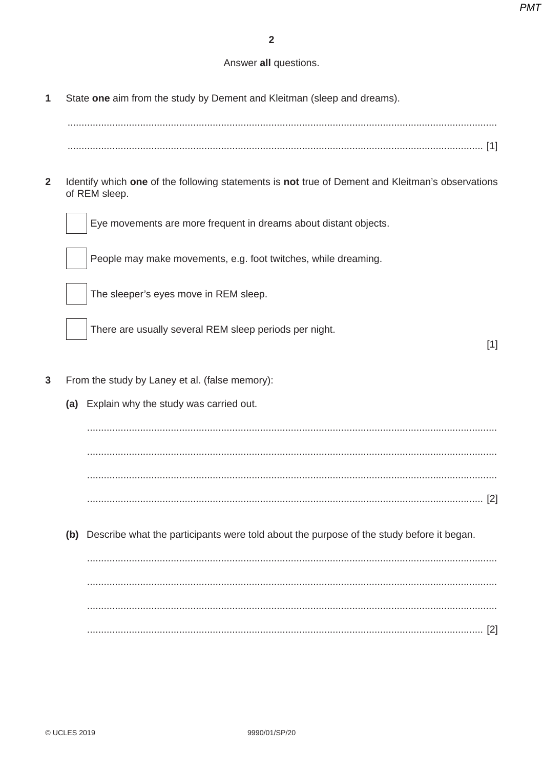## Answer all questions.

 $\overline{1}$ State one aim from the study by Dement and Kleitman (sleep and dreams).

 $\overline{2}$ Identify which one of the following statements is not true of Dement and Kleitman's observations of REM sleep.



Eye movements are more frequent in dreams about distant objects.

People may make movements, e.g. foot twitches, while dreaming.



The sleeper's eyes move in REM sleep.

There are usually several REM sleep periods per night.

 $[1]$ 

- $\overline{3}$ From the study by Laney et al. (false memory):
	- (a) Explain why the study was carried out.

(b) Describe what the participants were told about the purpose of the study before it began.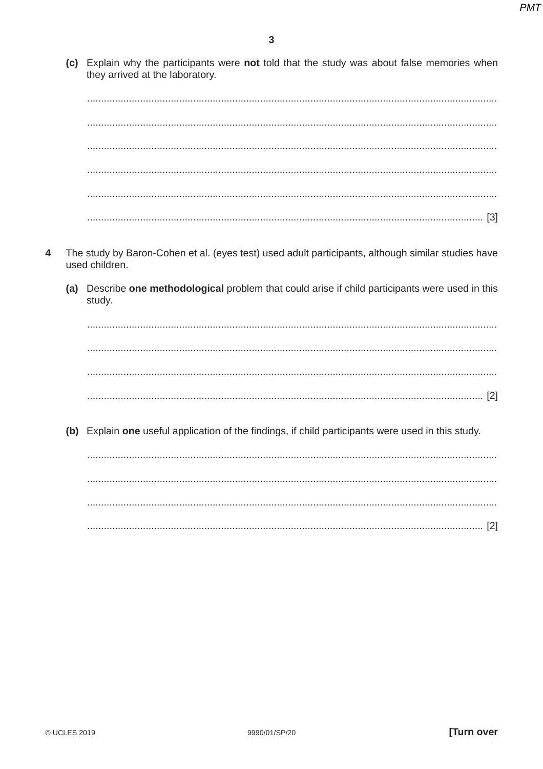(c) Explain why the participants were not told that the study was about false memories when they arrived at the laboratory.

- $\boldsymbol{\Lambda}$ The study by Baron-Cohen et al. (eyes test) used adult participants, although similar studies have used children.
	- (a) Describe one methodological problem that could arise if child participants were used in this study.

(b) Explain one useful application of the findings, if child participants were used in this study.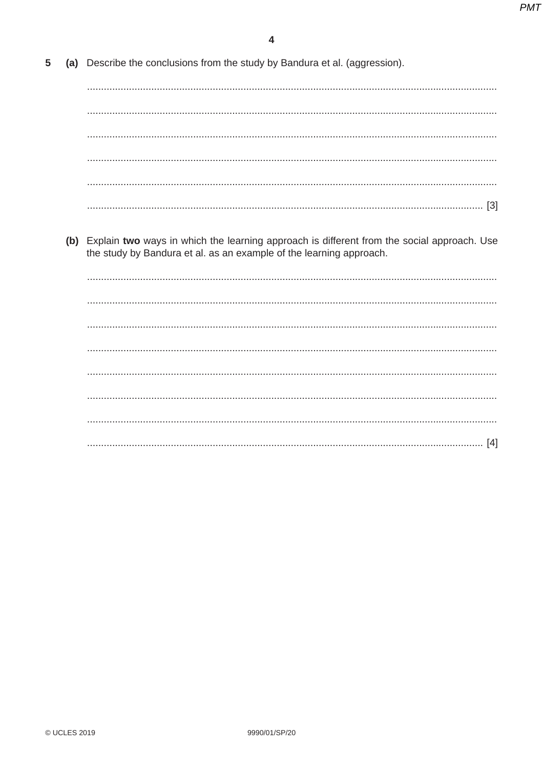| 5 | (a) Describe the conclusions from the study by Bandura et al. (aggression).                                                                                           |
|---|-----------------------------------------------------------------------------------------------------------------------------------------------------------------------|
|   |                                                                                                                                                                       |
|   |                                                                                                                                                                       |
|   |                                                                                                                                                                       |
|   |                                                                                                                                                                       |
|   |                                                                                                                                                                       |
|   |                                                                                                                                                                       |
|   | (b) Explain two ways in which the learning approach is different from the social approach. Use<br>the study by Bandura et al. as an example of the learning approach. |
|   |                                                                                                                                                                       |
|   |                                                                                                                                                                       |
|   |                                                                                                                                                                       |
|   |                                                                                                                                                                       |
|   |                                                                                                                                                                       |
|   |                                                                                                                                                                       |
|   |                                                                                                                                                                       |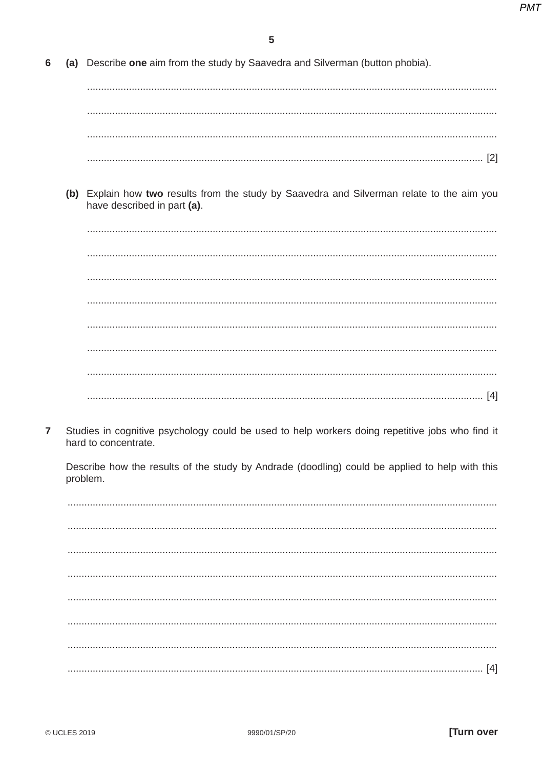(a) Describe one aim from the study by Saavedra and Silverman (button phobia). 6

(b) Explain how two results from the study by Saavedra and Silverman relate to the aim you have described in part (a).

 $\overline{7}$ Studies in cognitive psychology could be used to help workers doing repetitive jobs who find it hard to concentrate.

Describe how the results of the study by Andrade (doodling) could be applied to help with this problem.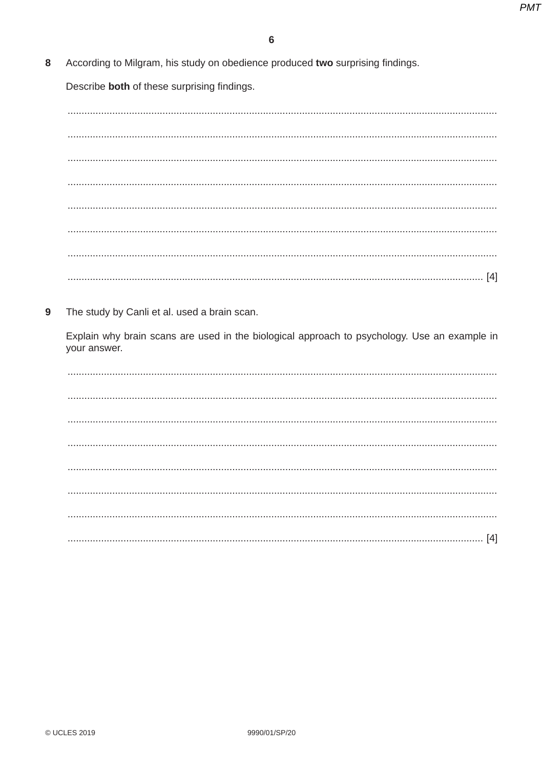According to Milgram, his study on obedience produced two surprising findings. 8

Describe both of these surprising findings.

9 The study by Canli et al. used a brain scan.

Explain why brain scans are used in the biological approach to psychology. Use an example in your answer.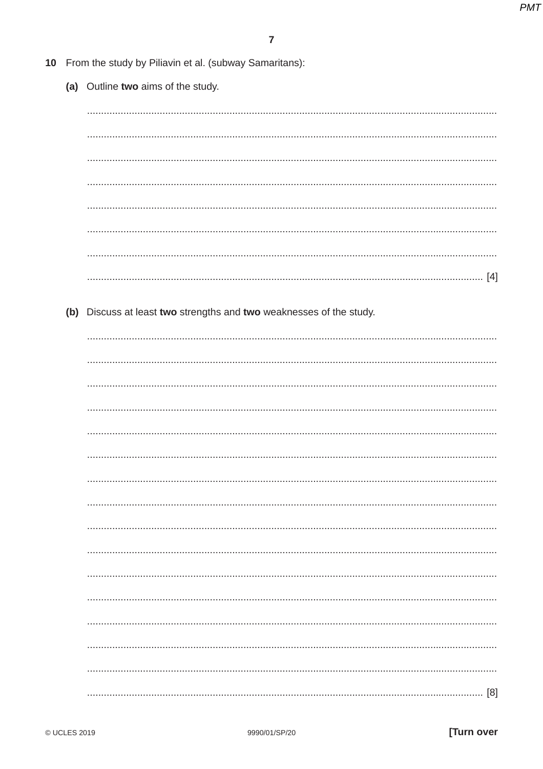| 10 From the study by Piliavin et al. (subway Samaritans): |                                                                     |  |  |  |  |  |  |  |
|-----------------------------------------------------------|---------------------------------------------------------------------|--|--|--|--|--|--|--|
|                                                           | (a) Outline two aims of the study.                                  |  |  |  |  |  |  |  |
|                                                           |                                                                     |  |  |  |  |  |  |  |
|                                                           |                                                                     |  |  |  |  |  |  |  |
|                                                           |                                                                     |  |  |  |  |  |  |  |
|                                                           |                                                                     |  |  |  |  |  |  |  |
|                                                           |                                                                     |  |  |  |  |  |  |  |
|                                                           |                                                                     |  |  |  |  |  |  |  |
|                                                           |                                                                     |  |  |  |  |  |  |  |
|                                                           |                                                                     |  |  |  |  |  |  |  |
|                                                           |                                                                     |  |  |  |  |  |  |  |
|                                                           | (b) Discuss at least two strengths and two weaknesses of the study. |  |  |  |  |  |  |  |
|                                                           |                                                                     |  |  |  |  |  |  |  |
|                                                           |                                                                     |  |  |  |  |  |  |  |
|                                                           |                                                                     |  |  |  |  |  |  |  |
|                                                           |                                                                     |  |  |  |  |  |  |  |
|                                                           |                                                                     |  |  |  |  |  |  |  |
|                                                           |                                                                     |  |  |  |  |  |  |  |
|                                                           |                                                                     |  |  |  |  |  |  |  |
|                                                           |                                                                     |  |  |  |  |  |  |  |
|                                                           |                                                                     |  |  |  |  |  |  |  |
|                                                           |                                                                     |  |  |  |  |  |  |  |
|                                                           |                                                                     |  |  |  |  |  |  |  |
|                                                           |                                                                     |  |  |  |  |  |  |  |
|                                                           |                                                                     |  |  |  |  |  |  |  |
|                                                           |                                                                     |  |  |  |  |  |  |  |
|                                                           |                                                                     |  |  |  |  |  |  |  |
|                                                           |                                                                     |  |  |  |  |  |  |  |